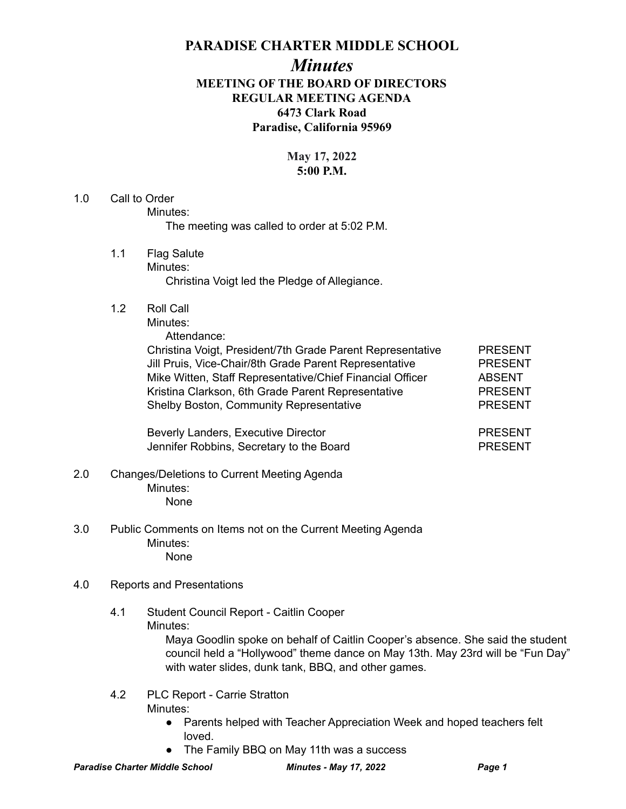## **PARADISE CHARTER MIDDLE SCHOOL**

## *Minutes* **MEETING OF THE BOARD OF DIRECTORS REGULAR MEETING AGENDA 6473 Clark Road Paradise, California 95969**

## **May 17, 2022 5:00 P.M.**

# 1.0 Call to Order Minutes: The meeting was called to order at 5:02 P.M. 1.1 Flag Salute Minutes: Christina Voigt led the Pledge of Allegiance. 1.2 Roll Call Minutes: Attendance: Christina Voigt, President/7th Grade Parent Representative PRESENT

Jill Pruis, Vice-Chair/8th Grade Parent Representative PRESENT Mike Witten, Staff Representative/Chief Financial Officer ABSENT Kristina Clarkson, 6th Grade Parent Representative PRESENT Shelby Boston, Community Representative **PRESENT** 

Beverly Landers, Executive Director **PRESENT** Jennifer Robbins, Secretary to the Board **PRESENT** 

#### 2.0 Changes/Deletions to Current Meeting Agenda Minutes: None

3.0 Public Comments on Items not on the Current Meeting Agenda Minutes: None

## 4.0 Reports and Presentations

4.1 Student Council Report - Caitlin Cooper Minutes:

Maya Goodlin spoke on behalf of Caitlin Cooper's absence. She said the student council held a "Hollywood" theme dance on May 13th. May 23rd will be "Fun Day" with water slides, dunk tank, BBQ, and other games.

- 4.2 PLC Report Carrie Stratton Minutes:
	- Parents helped with Teacher Appreciation Week and hoped teachers felt loved.
	- The Family BBQ on May 11th was a success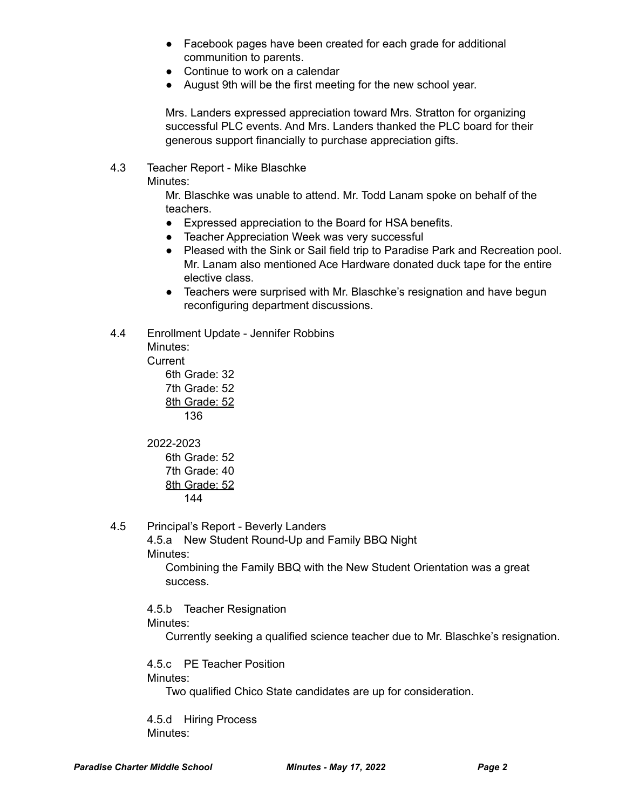- Facebook pages have been created for each grade for additional communition to parents.
- Continue to work on a calendar
- August 9th will be the first meeting for the new school year.

Mrs. Landers expressed appreciation toward Mrs. Stratton for organizing successful PLC events. And Mrs. Landers thanked the PLC board for their generous support financially to purchase appreciation gifts.

#### 4.3 Teacher Report - Mike Blaschke

Minutes:

Mr. Blaschke was unable to attend. Mr. Todd Lanam spoke on behalf of the teachers.

- Expressed appreciation to the Board for HSA benefits.
- Teacher Appreciation Week was very successful
- Pleased with the Sink or Sail field trip to Paradise Park and Recreation pool. Mr. Lanam also mentioned Ace Hardware donated duck tape for the entire elective class.
- Teachers were surprised with Mr. Blaschke's resignation and have begun reconfiguring department discussions.

#### 4.4 Enrollment Update - Jennifer Robbins

Minutes: **Current** 

6th Grade: 32 7th Grade: 52 8th Grade: 52 136

2022-2023

6th Grade: 52 7th Grade: 40 8th Grade: 52 144

4.5 Principal's Report - Beverly Landers

4.5.a New Student Round-Up and Family BBQ Night Minutes:

Combining the Family BBQ with the New Student Orientation was a great success.

4.5.b Teacher Resignation Minutes:

Currently seeking a qualified science teacher due to Mr. Blaschke's resignation.

4.5.c PE Teacher Position Minutes:

Two qualified Chico State candidates are up for consideration.

4.5.d Hiring Process Minutes: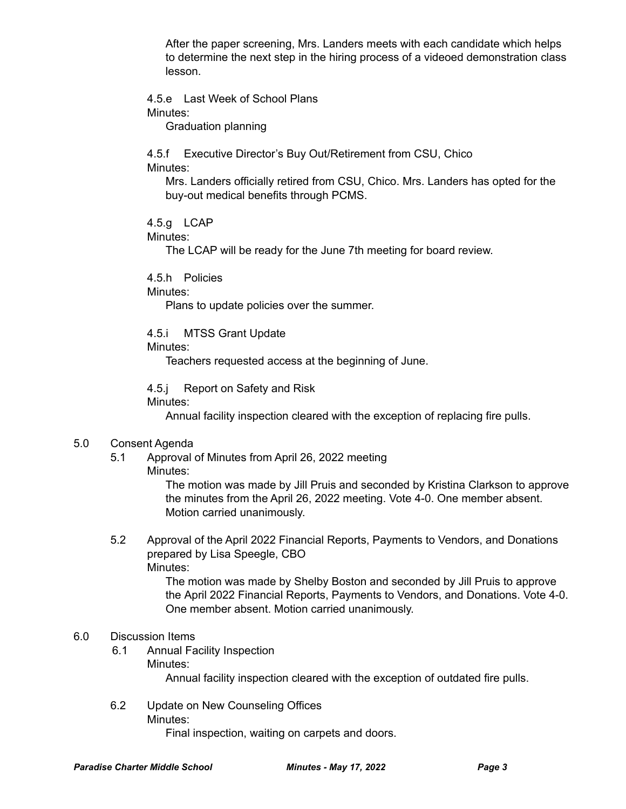After the paper screening, Mrs. Landers meets with each candidate which helps to determine the next step in the hiring process of a videoed demonstration class lesson.

4.5.e Last Week of School Plans Minutes:

Graduation planning

4.5.f Executive Director's Buy Out/Retirement from CSU, Chico Minutes:

Mrs. Landers officially retired from CSU, Chico. Mrs. Landers has opted for the buy-out medical benefits through PCMS.

4.5.g LCAP

Minutes:

The LCAP will be ready for the June 7th meeting for board review.

4.5.h Policies

Minutes:

Plans to update policies over the summer.

#### 4.5.i MTSS Grant Update

Minutes:

Teachers requested access at the beginning of June.

4.5.j Report on Safety and Risk

Minutes:

Annual facility inspection cleared with the exception of replacing fire pulls.

#### 5.0 Consent Agenda

- 5.1 Approval of Minutes from April 26, 2022 meeting
	- Minutes:

The motion was made by Jill Pruis and seconded by Kristina Clarkson to approve the minutes from the April 26, 2022 meeting. Vote 4-0. One member absent. Motion carried unanimously.

5.2 Approval of the April 2022 Financial Reports, Payments to Vendors, and Donations prepared by Lisa Speegle, CBO Minutes:

> The motion was made by Shelby Boston and seconded by Jill Pruis to approve the April 2022 Financial Reports, Payments to Vendors, and Donations. Vote 4-0. One member absent. Motion carried unanimously.

#### 6.0 Discussion Items

6.1 Annual Facility Inspection Minutes:

Annual facility inspection cleared with the exception of outdated fire pulls.

6.2 Update on New Counseling Offices Minutes:

Final inspection, waiting on carpets and doors.